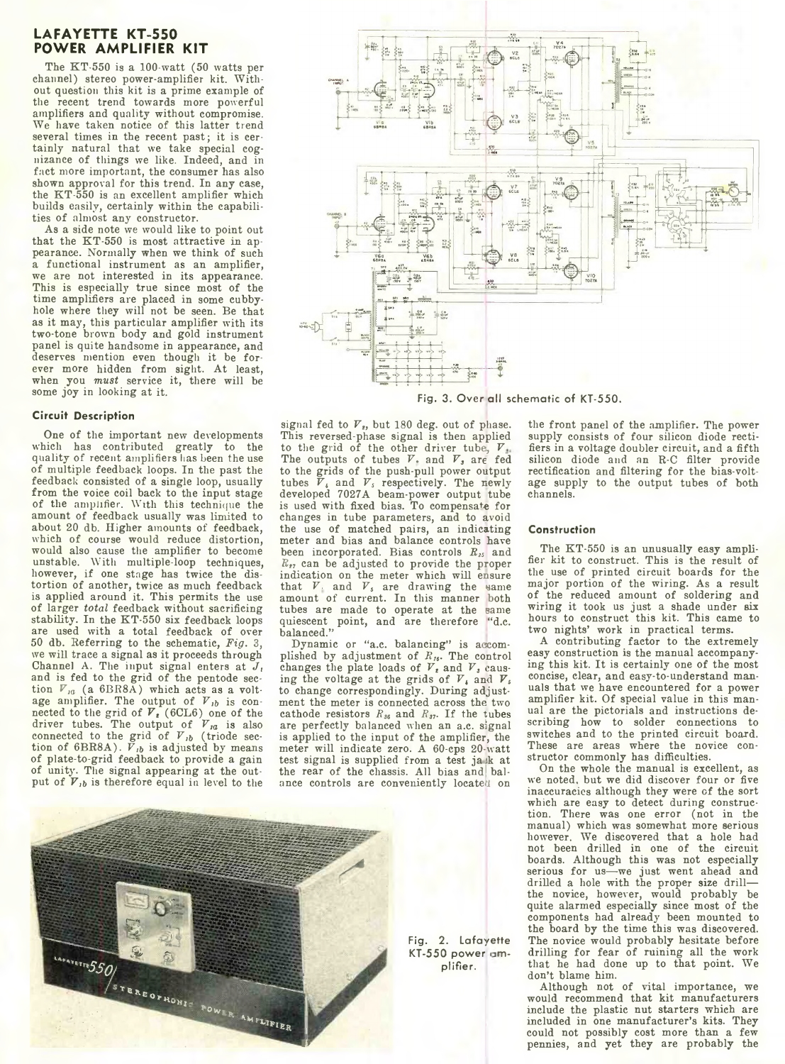## **LAFAYETTE KT-550 POWER AMPLIFIER KIT**

The KT-550 is a 100-watt (50 watts per channel) stereo power-amplifier kit. Without question this kit is a prime example of the recent trend towards more powerful amplifiers and quality without compromise. We have taken notice of this latter trend several times in the recent past; it is certainly natural that we take special cognizance of things we like. Indeed, and in fact more important, the consumer has also shown approval for this trend. In any case, the KT-550 is an excellent amplifier which builds easily, certainly within the capabilities of almost any constructor.

As a side note we would like to point out that the KT-550 is most attractive in appearance. Normally when we think of such a functional instrument as an amplifier, we are not interested in its appearance. This is especially true since most of the time amplifiers are placed in some cubbyhole where they will not be seen. Be that as it may, this particular amplifier with its two-tone brown body and gold instrument panel is quite handsome in appearance, and deserves mention even though it be forever more hidden from sight. At least, when you *must* service it, there will be some joy in looking at it.

## **Circuit Description**

One of the important new developments which has contributed greatly to the quality of recent amplifiers lias been the use of multiple feedback loops. In the past the feedback consisted of a single loop, usually from the voice coil back to the input stage of the amplifier. With this technique the amount of feedback usually was limited to about 20 db. Higher amounts of feedback, which of course would reduce distortion, would also cause the amplifier to become unstable. With multiple-loop techniques, however, if one stage has twice the distortion of another, twice as much feedback is applied around it. This permits the use of larger *total* feedback without sacrificing stability. In the KT-550 six feedback loops are used with a total feedback of over 50 db. Referring to the schematic, *Fig.* 3, we will trace a signal as it proceeds through Channel A. The input signal enters at *J,* and is fed to the grid of the pentode section  $V_{1a}$  (a 6BR8A) which acts as a voltage amplifier. The output of  $V_{ib}$  is connected to the grid of  $V_t$  (6CL6) one of the<br>driver tubes. The output of  $V_{ia}$  is also connected to the grid of *V ,b* (triode section of  $6BRA$ ).  $V_{ib}$  is adjusted by means of plate-to-grid feedback to provide a gain of unity. The signal appearing at the output of  $V_{,b}$  is therefore equal in level to the



**Fig. 3. O ver all schematic of KT-550.**

signal fed to  $V<sub>t</sub>$ , but 180 deg. out of phase. This reversed-phase signal is then applied to the grid of the other driver tube;, *V* The outputs of tubes *V.* and *V,* are fed to the grids of the push-pull power output tubes  $V<sub>i</sub>$  and  $V<sub>s</sub>$  respectively. The newly developed 7027A beam-power output tube is used with fixed bias. To compensate for changes in tube parameters, and to avoid the use of matched pairs, an indicating meter and bias and balance controls have been incorporated. Bias controls *R15* and  $R_{17}$  can be adjusted to provide the proper indication on the meter which will ensure<br>that *V*. and *V*<sub>5</sub> are drawing the same amount of current. In this manner both tubes are made to operate at the same quiescent point, and are therefore "d.c.<br>balanced."

Dynamic or "a.c. balancing" is accomplished by adjustment of  $R_{16}$ . The control changes the plate loads of *V*, and *V,* causing the voltage at the grids of  $V_4$  and  $V_5$ to change correspondingly. During adjustment the meter is connected across the two cathode resistors  $R_{ss}$  and  $R_{sr}$ . If the tubes are perfectly balanced when an a.c. signal is applied to the input of the amplifier, the meter will indicate zero. A 60-cps 20-watt test signal is supplied from a test jask at the rear of the chassis. All bias and balance controls are conveniently located on



the front panel of the amplifier. The power supply consists of four silicon diode rectifiers in a voltage doubler circuit, and a fifth silicon diode and an R-C filter provide rectification and filtering for the bias-voltage supply to the output tubes of both channels.

## **Construction**

The KT-550 is an unusually easy amplifier kit to construct. This is the result of the use of printed circuit boards for the major portion of the wiring. As a result of the reduced amount of soldering and wiring it took us just a shade under six hours to construct this kit. This came to two nights' work in practical terms.

A contributing factor to the extremely easy construction is the manual accompanying this kit. It is certainly one of the most concise, clear, and easy-to-understand manuals that we have encountered for a power amplifier kit. Of special value in this manual are the pictorials and instructions describing how to solder connections to switches and to the printed circuit board. These are areas where the novice con-structor commonly has difficulties.

On the whole the manual is excellent, as we noted, but we did discover four or five inaccuracies although they were of the sort which are easy to detect during construction. There was one error (not in the manual) which was somewhat more serious however. We discovered that a hole had not been drilled in one of the circuit boards. Although this was not especially serious for us— we just went ahead and drilled a hole with the proper size drill the novice, however, would probably be quite alarmed especially since most of the components had already been mounted to the board by the time this was discovered. The novice would probably hesitate before drilling for fear of ruining all the work that he had done up to that point. We don't blame him.

Although not of vital importance, we would recommend that kit manufacturers include the plastic nut starters which are included in one manufacturer's kits. They could not possibly cost more than a few pennies, and yet they are probably the